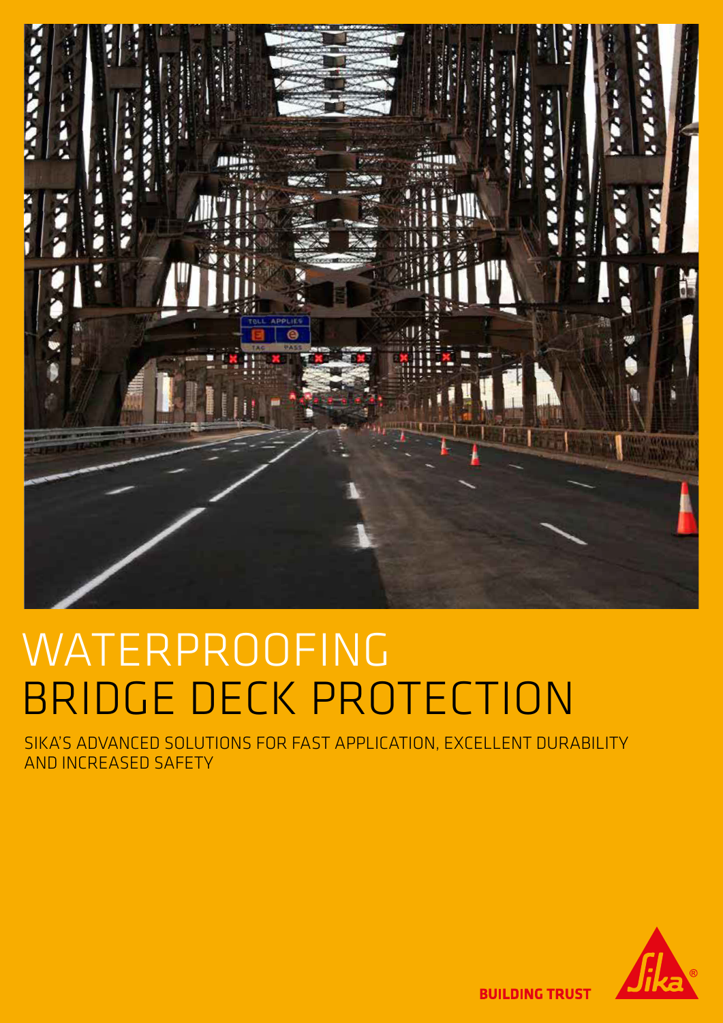

# WATERPROOFING BRIDGE DECK PROTECTION

SIKA'S ADVANCED SOLUTIONS FOR FAST APPLICATION, EXCELLENT DURABILITY AND INCREASED SAFETY



**BUILDING TRUST**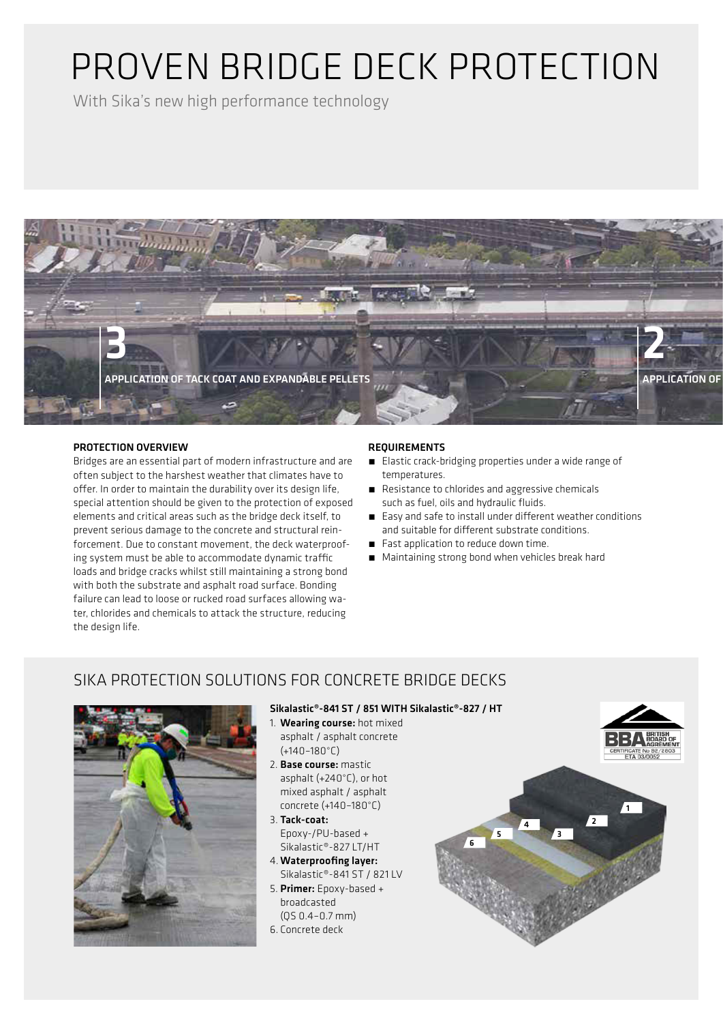## PROVEN BRIDGE DECK PROTECTION

With Sika's new high performance technology



## PROTECTION OVERVIEW

Bridges are an essential part of modern infrastructure and are often subject to the harshest weather that climates have to offer. In order to maintain the durability over its design life, special attention should be given to the protection of exposed elements and critical areas such as the bridge deck itself, to prevent serious damage to the concrete and structural reinforcement. Due to constant movement, the deck waterproofing system must be able to accommodate dynamic traffic loads and bridge cracks whilst still maintaining a strong bond with both the substrate and asphalt road surface. Bonding failure can lead to loose or rucked road surfaces allowing water, chlorides and chemicals to attack the structure, reducing the design life.

## REQUIREMENTS

- Elastic crack-bridging properties under a wide range of temperatures.
- Resistance to chlorides and aggressive chemicals such as fuel, oils and hydraulic fluids.
- Easy and safe to install under different weather conditions and suitable for different substrate conditions.
- Fast application to reduce down time.
- **E** Maintaining strong bond when vehicles break hard

## SIKA PROTECTION SOLUTIONS FOR CONCRETE BRIDGE DECKS



### Sikalastic®-841 ST / 851 WITH Sikalastic®-827 / HT

- 1. Wearing course: hot mixed asphalt / asphalt concrete (+140–180°C)
- 2. Base course: mastic asphalt (+240°C), or hot mixed asphalt / asphalt concrete (+140–180°C)
- 3. Tack-coat: Epoxy-/PU-based + Sikalastic®-827 LT/HT 4. Waterproofing layer:
- Sikalastic®-841 ST / 821 LV
- 5. Primer: Epoxy-based + broadcasted (QS 0.4–0.7 mm)
- 6. Concrete deck

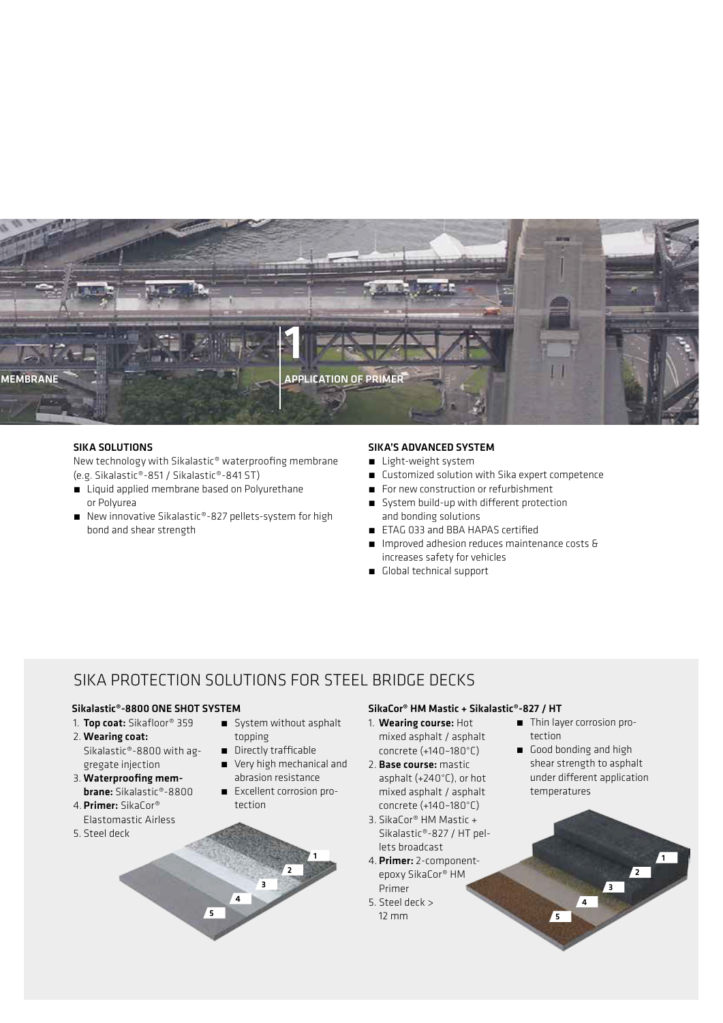

### SIKA SOLUTIONS

New technology with Sikalastic® waterproofing membrane (e.g. Sikalastic®-851 / Sikalastic®-841 ST)

- Liquid applied membrane based on Polyurethane or Polyurea
- New innovative Sikalastic®-827 pellets-system for high bond and shear strength

#### SIKA'S ADVANCED SYSTEM

- **E** Light-weight system
- Customized solution with Sika expert competence
- For new construction or refurbishment
- System build-up with different protection and bonding solutions
- ETAG 033 and BBA HAPAS certified
- Improved adhesion reduces maintenance costs & increases safety for vehicles
- **■** Global technical support

## SIKA PROTECTION SOLUTIONS FOR STEEL BRIDGE DECKS

- 1. Top coat: Sikafloor® 359 2. Wearing coat:
- Sikalastic®-8800 with aggregate injection
- 3. Waterproofing membrane: Sikalastic®-8800
- 4. Primer: SikaCor® Elastomastic Airless
- 5. Steel deck
- **E** System without asphalt topping
- **n** Directly trafficable
- **•** Very high mechanical and abrasion resistance
- **Excellent corrosion pro**tection



### Sikalastic®-8800 ONE SHOT SYSTEM SikaCor® HM Mastic + Sikalastic®-827 / HT

- 1. Wearing course: Hot mixed asphalt / asphalt concrete (+140–180°C)
- 2. Base course: mastic asphalt (+240°C), or hot mixed asphalt / asphalt concrete (+140–180°C)
- 3. SikaCor® HM Mastic + Sikalastic®-827 / HT pellets broadcast
- 4. Primer: 2-componentepoxy SikaCor® HM Primer
- 5. Steel deck > 12 mm

■ Thin layer corrosion protection

5

4

3

■ Good bonding and high shear strength to asphalt under different application temperatures

2

1